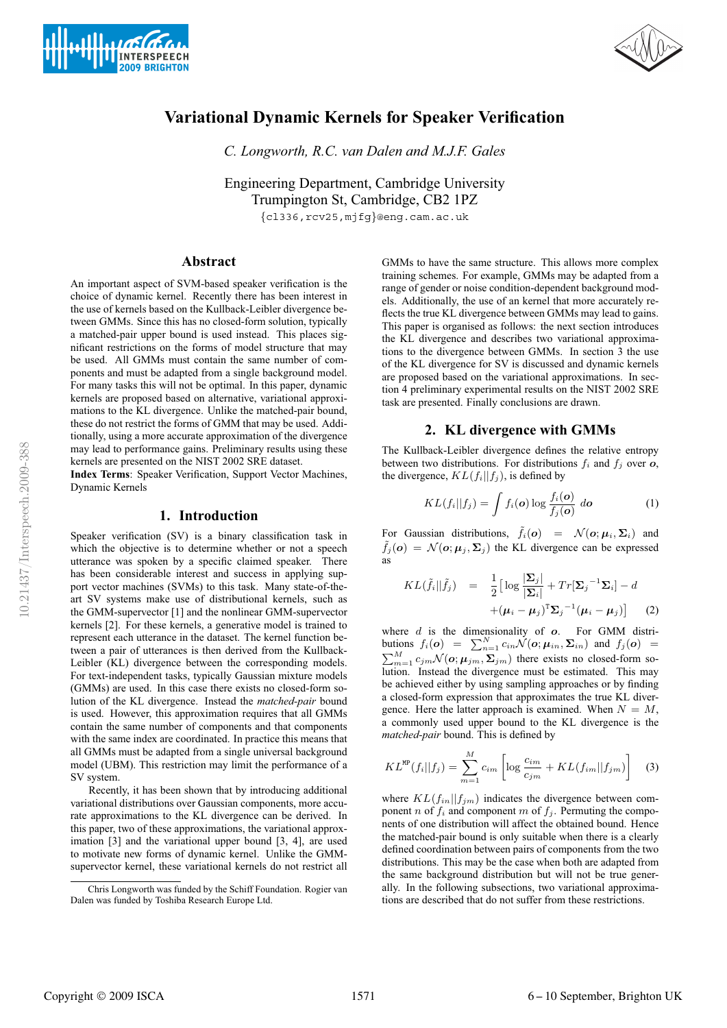



# **Variational Dynamic Kernels for Speaker Verification**

*C. Longworth, R.C. van Dalen and M.J.F. Gales*

Engineering Department, Cambridge University Trumpington St, Cambridge, CB2 1PZ {cl336,rcv25,mjfg}@eng.cam.ac.uk

**Abstract**

An important aspect of SVM-based speaker verification is the choice of dynamic kernel. Recently there has been interest in the use of kernels based on the Kullback-Leibler divergence between GMMs. Since this has no closed-form solution, typically a matched-pair upper bound is used instead. This places significant restrictions on the forms of model structure that may be used. All GMMs must contain the same number of components and must be adapted from a single background model. For many tasks this will not be optimal. In this paper, dynamic kernels are proposed based on alternative, variational approximations to the KL divergence. Unlike the matched-pair bound, these do not restrict the forms of GMM that may be used. Additionally, using a more accurate approximation of the divergence may lead to performance gains. Preliminary results using these kernels are presented on the NIST 2002 SRE dataset.

**Index Terms**: Speaker Verification, Support Vector Machines, Dynamic Kernels

## **1. Introduction**

Speaker verification (SV) is a binary classification task in which the objective is to determine whether or not a speech utterance was spoken by a specific claimed speaker. There has been considerable interest and success in applying support vector machines (SVMs) to this task. Many state-of-theart SV systems make use of distributional kernels, such as the GMM-supervector [1] and the nonlinear GMM-supervector kernels [2]. For these kernels, a generative model is trained to represent each utterance in the dataset. The kernel function between a pair of utterances is then derived from the Kullback-Leibler (KL) divergence between the corresponding models. For text-independent tasks, typically Gaussian mixture models (GMMs) are used. In this case there exists no closed-form solution of the KL divergence. Instead the *matched-pair* bound is used. However, this approximation requires that all GMMs contain the same number of components and that components with the same index are coordinated. In practice this means that all GMMs must be adapted from a single universal background model (UBM). This restriction may limit the performance of a SV system.

Recently, it has been shown that by introducing additional variational distributions over Gaussian components, more accurate approximations to the KL divergence can be derived. In this paper, two of these approximations, the variational approximation [3] and the variational upper bound [3, 4], are used to motivate new forms of dynamic kernel. Unlike the GMMsupervector kernel, these variational kernels do not restrict all GMMs to have the same structure. This allows more complex training schemes. For example, GMMs may be adapted from a range of gender or noise condition-dependent background models. Additionally, the use of an kernel that more accurately reflects the true KL divergence between GMMs may lead to gains. This paper is organised as follows: the next section introduces the KL divergence and describes two variational approximations to the divergence between GMMs. In section 3 the use of the KL divergence for SV is discussed and dynamic kernels are proposed based on the variational approximations. In section 4 preliminary experimental results on the NIST 2002 SRE task are presented. Finally conclusions are drawn.

### **2. KL divergence with GMMs**

The Kullback-Leibler divergence defines the relative entropy between two distributions. For distributions  $f_i$  and  $f_j$  over  $o$ , the divergence,  $KL(f_i||f_j)$ , is defined by

$$
KL(f_i||f_j) = \int f_i(o) \log \frac{f_i(o)}{f_j(o)} \, do \tag{1}
$$

For Gaussian distributions,  $\tilde{f}_i(o) = \mathcal{N}(o; \mu_i, \Sigma_i)$  and  $\tilde{f}_j(o) = \mathcal{N}(o; \mu_j, \Sigma_j)$  the KL divergence can be expressed as

$$
KL(\tilde{f}_i||\tilde{f}_j) = \frac{1}{2} \Big[ \log \frac{|\mathbf{\Sigma}_j|}{|\mathbf{\Sigma}_i|} + Tr[\mathbf{\Sigma}_j^{-1} \mathbf{\Sigma}_i] - d
$$
  
 
$$
+ (\boldsymbol{\mu}_i - \boldsymbol{\mu}_j)^{\mathrm{T}} \mathbf{\Sigma}_j^{-1} (\boldsymbol{\mu}_i - \boldsymbol{\mu}_j) \Big] \tag{2}
$$

where  $d$  is the dimensionality of  $o$ . For GMM distributions  $f_i(\mathbf{o}) = \sum_{n=1}^{N} c_{in} \mathcal{N}(\mathbf{o}; \mathbf{\mu}_{in}, \mathbf{\Sigma}_{in})$  and  $f_j(\mathbf{o}) =$  $\sum_{m=1}^{M} c_{jm} \mathcal{N}(\boldsymbol{o}; \boldsymbol{\mu}_{jm}, \boldsymbol{\Sigma}_{jm})$  there exists no closed-form solution. Instead the divergence must be estimated. This may be achieved either by using sampling approaches or by finding a closed-form expression that approximates the true KL divergence. Here the latter approach is examined. When  $N = M$ , a commonly used upper bound to the KL divergence is the *matched-pair* bound. This is defined by

$$
KL^{\text{MP}}(f_i||f_j) = \sum_{m=1}^{M} c_{im} \left[ \log \frac{c_{im}}{c_{jm}} + KL(f_{im}||f_{jm}) \right]
$$
 (3)

where  $KL(f_{in}||f_{jm})$  indicates the divergence between component n of  $f_i$  and component m of  $f_i$ . Permuting the components of one distribution will affect the obtained bound. Hence the matched-pair bound is only suitable when there is a clearly defined coordination between pairs of components from the two distributions. This may be the case when both are adapted from the same background distribution but will not be true generally. In the following subsections, two variational approximations are described that do not suffer from these restrictions.

Chris Longworth was funded by the Schiff Foundation. Rogier van Dalen was funded by Toshiba Research Europe Ltd.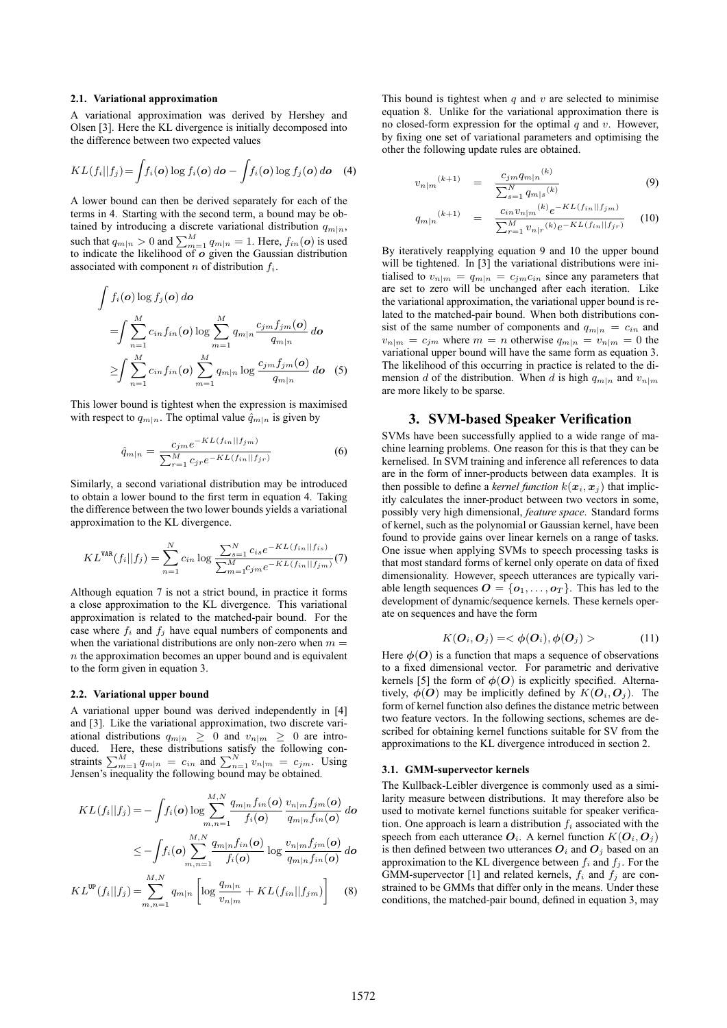#### **2.1. Variational approximation**

A variational approximation was derived by Hershey and Olsen [3]. Here the KL divergence is initially decomposed into the difference between two expected values

$$
KL(f_i||f_j) = \int f_i(\boldsymbol{o}) \log f_i(\boldsymbol{o}) \, d\boldsymbol{o} - \int f_i(\boldsymbol{o}) \log f_j(\boldsymbol{o}) \, d\boldsymbol{o} \quad (4)
$$

A lower bound can then be derived separately for each of the terms in 4. Starting with the second term, a bound may be obtained by introducing a discrete variational distribution  $q_{m|n}$ , such that  $q_{m|n} > 0$  and  $\sum_{m=1}^{M} q_{m|n} = 1$ . Here,  $f_{in}(\boldsymbol{o})$  is used to indicate the likelihood of  $\boldsymbol{o}$  given the Gaussian distribution associated with component  $n$  of distribution  $f_i$ .

$$
\int f_i(\boldsymbol{o}) \log f_j(\boldsymbol{o}) d\boldsymbol{o}
$$
\n
$$
= \int \sum_{n=1}^M c_{in} f_{in}(\boldsymbol{o}) \log \sum_{m=1}^M q_{m|n} \frac{c_{jm} f_{jm}(\boldsymbol{o})}{q_{m|n}} d\boldsymbol{o}
$$
\n
$$
\geq \int \sum_{n=1}^M c_{in} f_{in}(\boldsymbol{o}) \sum_{m=1}^M q_{m|n} \log \frac{c_{jm} f_{jm}(\boldsymbol{o})}{q_{m|n}} d\boldsymbol{o} \quad (5)
$$

This lower bound is tightest when the expression is maximised with respect to  $q_{m|n}$ . The optimal value  $\hat{q}_{m|n}$  is given by

$$
\hat{q}_{m|n} = \frac{c_{jm}e^{-KL(f_{in}||f_{jm})}}{\sum_{r=1}^{M}c_{jr}e^{-KL(f_{in}||f_{jr})}}
$$
(6)

Similarly, a second variational distribution may be introduced to obtain a lower bound to the first term in equation 4. Taking the difference between the two lower bounds yields a variational approximation to the KL divergence.

$$
KL^{\text{VAR}}(f_i||f_j) = \sum_{n=1}^{N} c_{in} \log \frac{\sum_{s=1}^{N} c_{is} e^{-KL(f_{in}||f_{is})}}{\sum_{m=1}^{M} c_{jm} e^{-KL(f_{in}||f_{jm})}}(7)
$$

Although equation 7 is not a strict bound, in practice it forms a close approximation to the KL divergence. This variational approximation is related to the matched-pair bound. For the case where  $f_i$  and  $f_j$  have equal numbers of components and when the variational distributions are only non-zero when  $m =$  $n$  the approximation becomes an upper bound and is equivalent to the form given in equation 3.

#### **2.2. Variational upper bound**

A variational upper bound was derived independently in [4] and [3]. Like the variational approximation, two discrete variational distributions  $q_{m|n} \geq 0$  and  $v_{n|m} \geq 0$  are introduced. Here, these distributions satisfy the following constraints  $\sum_{m=1}^{M} q_{m|n} = c_{in}$  and  $\sum_{n=1}^{N} v_{n|m} = c_{jm}$ . Using Jensen's inequality the following bound may be obtained.

$$
KL(f_i||f_j) = -\int f_i(o) \log \sum_{m,n=1}^{M,N} \frac{q_{m|n} f_{in}(o)}{f_i(o)} \frac{v_{n|m} f_{jm}(o)}{q_{m|n} f_{in}(o)} \, do
$$
  

$$
\leq -\int f_i(o) \sum_{m,n=1}^{M,N} \frac{q_{m|n} f_{in}(o)}{f_i(o)} \log \frac{v_{n|m} f_{jm}(o)}{q_{m|n} f_{in}(o)} \, do
$$

$$
KL^{\text{UP}}(f_i||f_j) = \sum_{m,n=1}^{M,N} q_{m|n} \left[ \log \frac{q_{m|n}}{v_{n|m}} + KL(f_{in}||f_{jm}) \right] \tag{8}
$$

This bound is tightest when  $q$  and  $v$  are selected to minimise equation 8. Unlike for the variational approximation there is no closed-form expression for the optimal  $q$  and  $v$ . However, by fixing one set of variational parameters and optimising the other the following update rules are obtained.

$$
v_{n|m}^{(k+1)} = \frac{c_{jm}q_{m|n}^{(k)}}{\sum_{s=1}^{N} q_{m|s}^{(k)}} \tag{9}
$$

$$
q_{m|n}^{(k+1)} = \frac{c_{in}v_{n|m}(k)e^{-KL(f_{in}||f_{jm})}}{\sum_{r=1}^{M}v_{n|r}(k)e^{-KL(f_{in}||f_{jr})}}
$$
 (10)

By iteratively reapplying equation 9 and 10 the upper bound will be tightened. In [3] the variational distributions were initialised to  $v_{n|m} = q_{m|n} = c_{jm}c_{in}$  since any parameters that are set to zero will be unchanged after each iteration. Like the variational approximation, the variational upper bound is related to the matched-pair bound. When both distributions consist of the same number of components and  $q_{m|n} = c_{in}$  and  $v_{n|m} = c_{jm}$  where  $m = n$  otherwise  $q_{m|n} = v_{n|m} = 0$  the variational upper bound will have the same form as equation 3. The likelihood of this occurring in practice is related to the dimension d of the distribution. When d is high  $q_{m|n}$  and  $v_{n|m}$ are more likely to be sparse.

## **3. SVM-based Speaker Verification**

SVMs have been successfully applied to a wide range of machine learning problems. One reason for this is that they can be kernelised. In SVM training and inference all references to data are in the form of inner-products between data examples. It is then possible to define a *kernel function*  $k(x_i, x_j)$  that implicitly calculates the inner-product between two vectors in some, possibly very high dimensional, *feature space*. Standard forms of kernel, such as the polynomial or Gaussian kernel, have been found to provide gains over linear kernels on a range of tasks. One issue when applying SVMs to speech processing tasks is that most standard forms of kernel only operate on data of fixed dimensionality. However, speech utterances are typically variable length sequences  $\mathbf{O} = \{o_1, \ldots, o_T\}$ . This has led to the development of dynamic/sequence kernels. These kernels operate on sequences and have the form

$$
K(\boldsymbol{O}_i, \boldsymbol{O}_j) = \langle \phi(\boldsymbol{O}_i), \phi(\boldsymbol{O}_j) \rangle \tag{11}
$$

Here  $\phi$ (O) is a function that maps a sequence of observations to a fixed dimensional vector. For parametric and derivative kernels [5] the form of  $\phi(O)$  is explicitly specified. Alternatively,  $\phi(O)$  may be implicitly defined by  $K(O_i, O_j)$ . The form of kernel function also defines the distance metric between two feature vectors. In the following sections, schemes are described for obtaining kernel functions suitable for SV from the approximations to the KL divergence introduced in section 2.

#### **3.1. GMM-supervector kernels**

The Kullback-Leibler divergence is commonly used as a similarity measure between distributions. It may therefore also be used to motivate kernel functions suitable for speaker verification. One approach is learn a distribution  $f_i$  associated with the speech from each utterance  $O_i$ . A kernel function  $K(O_i, O_j)$ is then defined between two utterances  $O_i$  and  $O_j$  based on an approximation to the KL divergence between  $f_i$  and  $f_j$ . For the GMM-supervector [1] and related kernels,  $f_i$  and  $f_j$  are constrained to be GMMs that differ only in the means. Under these conditions, the matched-pair bound, defined in equation 3, may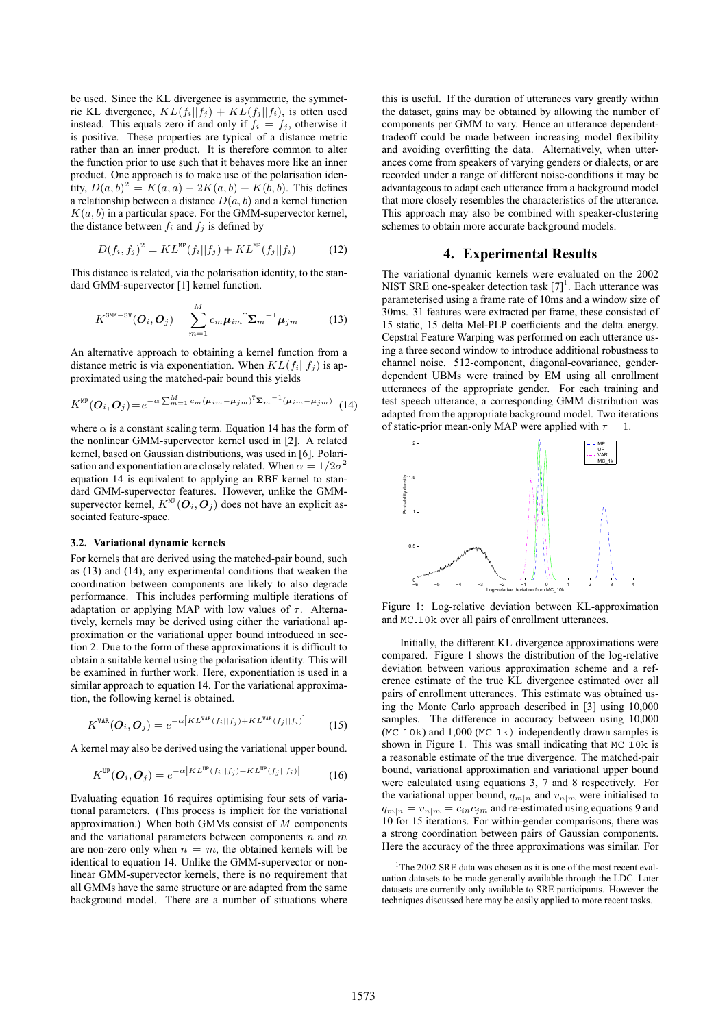be used. Since the KL divergence is asymmetric, the symmetric KL divergence,  $KL(f_i||f_j) + KL(f_j||f_i)$ , is often used instead. This equals zero if and only if  $f_i = f_j$ , otherwise it is positive. These properties are typical of a distance metric rather than an inner product. It is therefore common to alter the function prior to use such that it behaves more like an inner product. One approach is to make use of the polarisation identity,  $D(a, b)^2 = K(a, a) - 2K(a, b) + K(b, b)$ . This defines a relationship between a distance  $D(a, b)$  and a kernel function  $K(a, b)$  in a particular space. For the GMM-supervector kernel, the distance between  $f_i$  and  $f_j$  is defined by

$$
D(f_i, f_j)^2 = KL^{\text{MP}}(f_i||f_j) + KL^{\text{MP}}(f_j||f_i)
$$
 (12)

This distance is related, via the polarisation identity, to the standard GMM-supervector [1] kernel function.

$$
K^{\text{GMM-SV}}(\boldsymbol{O}_i, \boldsymbol{O}_j) = \sum_{m=1}^{M} c_m \boldsymbol{\mu}_{im}^{\text{T}} \boldsymbol{\Sigma}_m^{-1} \boldsymbol{\mu}_{jm}
$$
(13)

An alternative approach to obtaining a kernel function from a distance metric is via exponentiation. When  $KL(f_i||f_j)$  is approximated using the matched-pair bound this yields

$$
K^{\text{MP}}(\boldsymbol{O}_i, \boldsymbol{O}_j) = e^{-\alpha \sum_{m=1}^M c_m (\boldsymbol{\mu}_{im} - \boldsymbol{\mu}_{jm})^T \boldsymbol{\Sigma}_m^{-1} (\boldsymbol{\mu}_{im} - \boldsymbol{\mu}_{jm})} \tag{14}
$$

where  $\alpha$  is a constant scaling term. Equation 14 has the form of the nonlinear GMM-supervector kernel used in [2]. A related kernel, based on Gaussian distributions, was used in [6]. Polarisation and exponentiation are closely related. When  $\alpha = 1/2\sigma^2$ equation 14 is equivalent to applying an RBF kernel to standard GMM-supervector features. However, unlike the GMMsupervector kernel,  $K^{\text{MP}}(O_i, O_j)$  does not have an explicit associated feature-space.

#### **3.2. Variational dynamic kernels**

For kernels that are derived using the matched-pair bound, such as (13) and (14), any experimental conditions that weaken the coordination between components are likely to also degrade performance. This includes performing multiple iterations of adaptation or applying MAP with low values of  $\tau$ . Alternatively, kernels may be derived using either the variational approximation or the variational upper bound introduced in section 2. Due to the form of these approximations it is difficult to obtain a suitable kernel using the polarisation identity. This will be examined in further work. Here, exponentiation is used in a similar approach to equation 14. For the variational approximation, the following kernel is obtained.

$$
K^{\text{VAR}}(\boldsymbol{O}_i, \boldsymbol{O}_j) = e^{-\alpha \left[ KL^{\text{VAR}}(f_i || f_j) + KL^{\text{VAR}}(f_j || f_i) \right]}
$$
(15)

A kernel may also be derived using the variational upper bound.

$$
K^{\text{UP}}(\boldsymbol{O}_i, \boldsymbol{O}_j) = e^{-\alpha \left[KL^{\text{UP}}(f_i||f_j) + KL^{\text{UP}}(f_j||f_i)\right]}
$$
(16)

Evaluating equation 16 requires optimising four sets of variational parameters. (This process is implicit for the variational approximation.) When both GMMs consist of  $M$  components and the variational parameters between components  $n$  and  $m$ are non-zero only when  $n = m$ , the obtained kernels will be identical to equation 14. Unlike the GMM-supervector or nonlinear GMM-supervector kernels, there is no requirement that all GMMs have the same structure or are adapted from the same background model. There are a number of situations where

this is useful. If the duration of utterances vary greatly within the dataset, gains may be obtained by allowing the number of components per GMM to vary. Hence an utterance dependenttradeoff could be made between increasing model flexibility and avoiding overfitting the data. Alternatively, when utterances come from speakers of varying genders or dialects, or are recorded under a range of different noise-conditions it may be advantageous to adapt each utterance from a background model that more closely resembles the characteristics of the utterance. This approach may also be combined with speaker-clustering schemes to obtain more accurate background models.

## **4. Experimental Results**

The variational dynamic kernels were evaluated on the 2002 NIST SRE one-speaker detection task  $[7]$ <sup>1</sup>. Each utterance was parameterised using a frame rate of 10ms and a window size of 30ms. 31 features were extracted per frame, these consisted of 15 static, 15 delta Mel-PLP coefficients and the delta energy. Cepstral Feature Warping was performed on each utterance using a three second window to introduce additional robustness to channel noise. 512-component, diagonal-covariance, genderdependent UBMs were trained by EM using all enrollment utterances of the appropriate gender. For each training and test speech utterance, a corresponding GMM distribution was adapted from the appropriate background model. Two iterations of static-prior mean-only MAP were applied with  $\tau = 1$ .



Figure 1: Log-relative deviation between KL-approximation and MC<sub>-10</sub>k over all pairs of enrollment utterances.

Initially, the different KL divergence approximations were compared. Figure 1 shows the distribution of the log-relative deviation between various approximation scheme and a reference estimate of the true KL divergence estimated over all pairs of enrollment utterances. This estimate was obtained using the Monte Carlo approach described in [3] using 10,000 samples. The difference in accuracy between using  $10,000$  $(MC_10k)$  and  $1,000 (MC_1k)$  independently drawn samples is shown in Figure 1. This was small indicating that MC<sub>-10</sub>k is a reasonable estimate of the true divergence. The matched-pair bound, variational approximation and variational upper bound were calculated using equations 3, 7 and 8 respectively. For the variational upper bound,  $q_{m|n}$  and  $v_{n|m}$  were initialised to  $q_{m|n} = v_{n|m} = c_{in}c_{im}$  and re-estimated using equations 9 and 10 for 15 iterations. For within-gender comparisons, there was a strong coordination between pairs of Gaussian components. Here the accuracy of the three approximations was similar. For

<sup>&</sup>lt;sup>1</sup>The 2002 SRE data was chosen as it is one of the most recent evaluation datasets to be made generally available through the LDC. Later datasets are currently only available to SRE participants. However the techniques discussed here may be easily applied to more recent tasks.